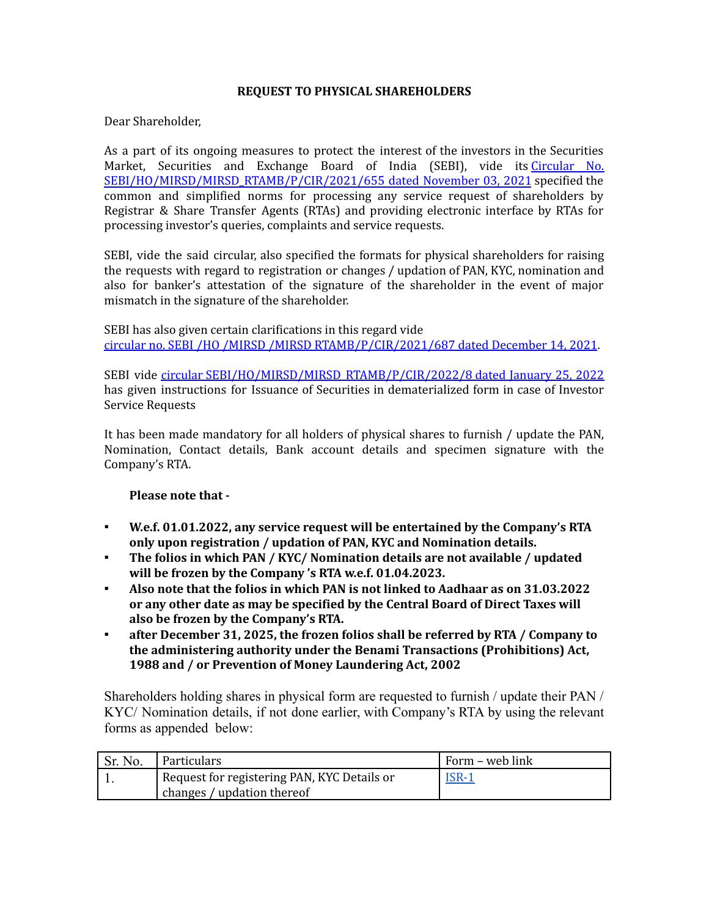## **REQUEST TO PHYSICAL SHAREHOLDERS**

Dear Shareholder,

As a part of its ongoing measures to protect the interest of the investors in the Securities Market, Securities and Exchange Board of India (SEBI), vide its [Circular](https://www.sebi.gov.in/legal/circulars/nov-2021/common-and-simplified-norms-for-processing-investor-s-service-request-by-rtas-and-norms-for-furnishing-pan-kyc-details-and-nomination_53787.html) No. [SEBI/HO/MIRSD/MIRSD\\_RTAMB/P/CIR/2021/655](https://www.sebi.gov.in/legal/circulars/nov-2021/common-and-simplified-norms-for-processing-investor-s-service-request-by-rtas-and-norms-for-furnishing-pan-kyc-details-and-nomination_53787.html) dated November 03, 2021 specified the common and simplified norms for processing any service request of shareholders by Registrar & Share Transfer Agents (RTAs) and providing electronic interface by RTAs for processing investor's queries, complaints and service requests.

SEBI, vide the said circular, also specified the formats for physical shareholders for raising the requests with regard to registration or changes / updation of PAN, KYC, nomination and also for banker's attestation of the signature of the shareholder in the event of major mismatch in the signature of the shareholder.

SEBI has also given certain clarifications in this regard vide circular no. SEBI /HO /MIRSD /MIRSD [RTAMB/P/CIR/2021/687](https://www.sebi.gov.in/legal/circulars/dec-2021/clarifications-with-respect-to-circular-dated-november-03-2021-on-common-and-simplified-norms-for-processing-investor-s-service-request-by-rtas-and-norms-for-furnishing-pan-kyc-details-_54602.html) dated December 14, 2021.

SEBI vide circular [SEBI/HO/MIRSD/MIRSD\\_RTAMB/P/CIR/2022/8](https://www.sebi.gov.in/legal/circulars/jan-2022/issuance-of-securities-in-dematerialized-form-in-case-of-investor-service-requests_55542.html) dated January 25, 2022 has given instructions for Issuance of Securities in dematerialized form in case of Investor Service Requests

It has been made mandatory for all holders of physical shares to furnish / update the PAN, Nomination, Contact details, Bank account details and specimen signature with the Company's RTA.

## **Please note that -**

- **W.e.f. 01.01.2022, any service request will be entertained by the Company's RTA only upon registration / updation of PAN, KYC and Nomination details.**
- **The folios in which PAN / KYC/ Nomination details are not available / updated will be frozen by the Company 's RTA w.e.f. 01.04.2023.**
- **Also note that the folios in which PAN is not linked to Aadhaar as on 31.03.2022 or any other date as may be specified by the Central Board of Direct Taxes will also be frozen by the Company's RTA.**
- **after December 31, 2025, the frozen folios shall be referred by RTA / Company to the administering authority under the Benami Transactions (Prohibitions) Act, 1988 and / or Prevention of Money Laundering Act, 2002**

Shareholders holding shares in physical form are requested to furnish / update their PAN / KYC/ Nomination details, if not done earlier, with Company's RTA by using the relevant forms as appended below:

| Sr. No. | ' Particulars                               | Form – web link |
|---------|---------------------------------------------|-----------------|
|         | Request for registering PAN, KYC Details or | <u>ISR-1</u>    |
|         | changes / updation thereof                  |                 |